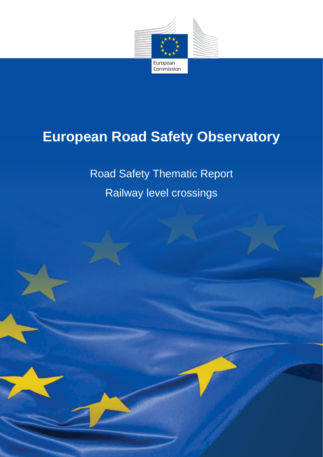

# **European Road Safety Observatory**

Road Safety Thematic Report Railway level crossings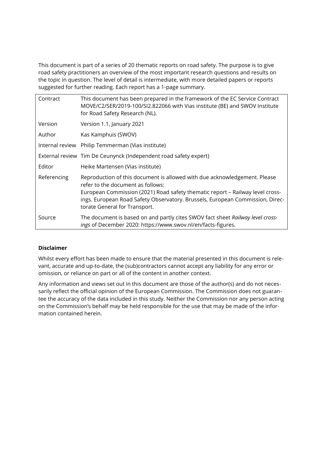This document is part of a series of 20 thematic reports on road safety. The purpose is to give road safety practitioners an overview of the most important research questions and results on the topic in question. The level of detail is intermediate, with more detailed papers or reports suggested for further reading. Each report has a 1-page summary.

| Contract    | This document has been prepared in the framework of the EC Service Contract<br>MOVE/C2/SER/2019-100/SI2.822066 with Vias institute (BE) and SWOV Institute<br>for Road Safety Research (NL).                                                                                                                      |
|-------------|-------------------------------------------------------------------------------------------------------------------------------------------------------------------------------------------------------------------------------------------------------------------------------------------------------------------|
| Version     | Version 1.1, January 2021                                                                                                                                                                                                                                                                                         |
| Author      | Kas Kamphuis (SWOV)                                                                                                                                                                                                                                                                                               |
|             | Internal review Philip Temmerman (Vias institute)                                                                                                                                                                                                                                                                 |
|             | External review Tim De Ceunynck (Independent road safety expert)                                                                                                                                                                                                                                                  |
| Editor      | Heike Martensen (Vias institute)                                                                                                                                                                                                                                                                                  |
| Referencing | Reproduction of this document is allowed with due acknowledgement. Please<br>refer to the document as follows:<br>European Commission (2021) Road safety thematic report - Railway level cross-<br>ings. European Road Safety Observatory. Brussels, European Commission, Direc-<br>torate General for Transport. |
| Source      | The document is based on and partly cites SWOV fact sheet Railway level cross-<br>ings of December 2020: https://www.swov.nl/en/facts-figures.                                                                                                                                                                    |

#### **Disclaimer**

Whilst every effort has been made to ensure that the material presented in this document is relevant, accurate and up-to-date, the (sub)contractors cannot accept any liability for any error or omission, or reliance on part or all of the content in another context.

Any information and views set out in this document are those of the author(s) and do not necessarily reflect the official opinion of the European Commission. The Commission does not guarantee the accuracy of the data included in this study. Neither the Commission nor any person acting on the Commission's behalf may be held responsible for the use that may be made of the information contained herein.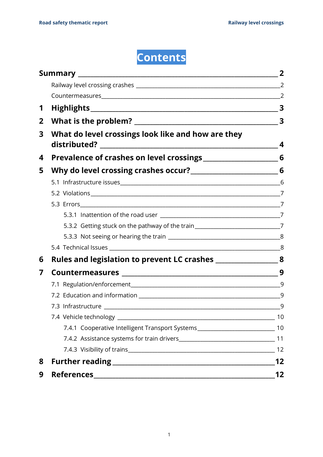

| 1            |                                                                                     |                         |
|--------------|-------------------------------------------------------------------------------------|-------------------------|
| $\mathbf{2}$ |                                                                                     | $\overline{\mathbf{3}}$ |
| 3            | What do level crossings look like and how are they                                  | 4                       |
| 4            |                                                                                     |                         |
| 5            |                                                                                     |                         |
|              |                                                                                     |                         |
|              |                                                                                     |                         |
|              |                                                                                     |                         |
|              |                                                                                     |                         |
|              | 5.3.2 Getting stuck on the pathway of the train________________________________7    |                         |
|              |                                                                                     |                         |
|              |                                                                                     |                         |
| 6            | Rules and legislation to prevent LC crashes _______________________8                |                         |
| 7            |                                                                                     |                         |
|              |                                                                                     |                         |
|              |                                                                                     |                         |
|              |                                                                                     |                         |
|              |                                                                                     | 10                      |
|              | 7.4.1 Cooperative Intelligent Transport Systems_________________________________ 10 |                         |
|              |                                                                                     |                         |
|              |                                                                                     |                         |
| 8            |                                                                                     | 12                      |
| 9            |                                                                                     | 12                      |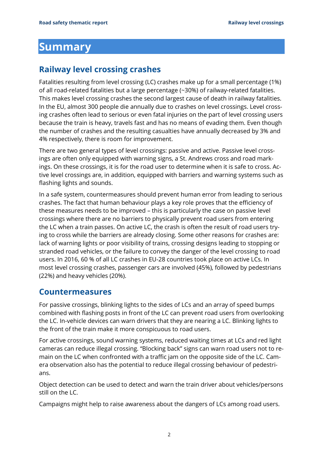## <span id="page-3-0"></span>**Summary**

### <span id="page-3-1"></span>**Railway level crossing crashes**

Fatalities resulting from level crossing (LC) crashes make up for a small percentage (1%) of all road-related fatalities but a large percentage (~30%) of railway-related fatalities. This makes level crossing crashes the second largest cause of death in railway fatalities. In the EU, almost 300 people die annually due to crashes on level crossings. Level crossing crashes often lead to serious or even fatal injuries on the part of level crossing users because the train is heavy, travels fast and has no means of evading them. Even though the number of crashes and the resulting casualties have annually decreased by 3% and 4% respectively, there is room for improvement.

There are two general types of level crossings: passive and active. Passive level crossings are often only equipped with warning signs, a St. Andrews cross and road markings. On these crossings, it is for the road user to determine when it is safe to cross. Active level crossings are, in addition, equipped with barriers and warning systems such as flashing lights and sounds.

In a safe system, countermeasures should prevent human error from leading to serious crashes. The fact that human behaviour plays a key role proves that the efficiency of these measures needs to be improved – this is particularly the case on passive level crossings where there are no barriers to physically prevent road users from entering the LC when a train passes. On active LC, the crash is often the result of road users trying to cross while the barriers are already closing. Some other reasons for crashes are: lack of warning lights or poor visibility of trains, crossing designs leading to stopping or stranded road vehicles, or the failure to convey the danger of the level crossing to road users. In 2016, 60 % of all LC crashes in EU-28 countries took place on active LCs. In most level crossing crashes, passenger cars are involved (45%), followed by pedestrians (22%) and heavy vehicles (20%).

### <span id="page-3-2"></span>**Countermeasures**

For passive crossings, blinking lights to the sides of LCs and an array of speed bumps combined with flashing posts in front of the LC can prevent road users from overlooking the LC. In-vehicle devices can warn drivers that they are nearing a LC. Blinking lights to the front of the train make it more conspicuous to road users.

For active crossings, sound warning systems, reduced waiting times at LCs and red light cameras can reduce illegal crossing. "Blocking back" signs can warn road users not to remain on the LC when confronted with a traffic jam on the opposite side of the LC. Camera observation also has the potential to reduce illegal crossing behaviour of pedestrians.

Object detection can be used to detect and warn the train driver about vehicles/persons still on the LC.

Campaigns might help to raise awareness about the dangers of LCs among road users.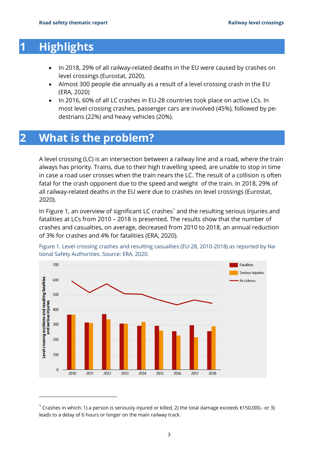## <span id="page-4-0"></span>**1 Highlights**

- In 2018, 29% of all railway-related deaths in the EU were caused by crashes on level crossings (Eurostat, 2020).
- Almost 300 people die annually as a result of a level crossing crash in the EU (ERA, 2020)
- In 2016, 60% of all LC crashes in EU-28 countries took place on active LCs. In most level crossing crashes, passenger cars are involved (45%), followed by pedestrians (22%) and heavy vehicles (20%).

## <span id="page-4-1"></span>**2 What is the problem?**

A level crossing (LC) is an intersection between a railway line and a road, where the train always has priority. Trains, due to their high travelling speed, are unable to stop in time in case a road user crosses when the train nears the LC. The result of a collision is often fatal for the crash opponent due to the speed and weight of the train. In 2018, 29% of all railway-related deaths in the EU were due to crashes on level crossings (Eurostat, 2020).

In Figure 1, an overview of significant LC crashes<sup>1</sup> and the resulting serious injuries and fatalities at LCs from 2010 – 2018 is presented. The results show that the number of crashes and casualties, on average, decreased from 2010 to 2018, an annual reduction of 3% for crashes and 4% for fatalities (ERA, 2020).



Figure 1. Level crossing crashes and resulting casualties (EU-28, 2010-2018) as reported by National Safety Authorities. Source: ERA, 2020.

<sup>&</sup>lt;sup>1</sup> Crashes in which: 1) a person is seriously injured or killed, 2) the total damage exceeds €150,000,- or 3) leads to a delay of 6 hours or longer on the main railway track.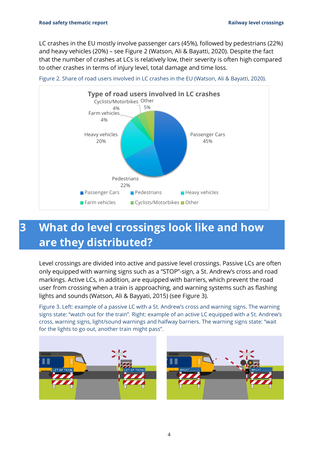LC crashes in the EU mostly involve passenger cars (45%), followed by pedestrians (22%) and heavy vehicles (20%) – see Figure 2 (Watson, Ali & Bayatti, 2020). Despite the fact that the number of crashes at LCs is relatively low, their severity is often high compared to other crashes in terms of injury level, total damage and time loss.





## <span id="page-5-0"></span>**3 What do level crossings look like and how are they distributed?**

Level crossings are divided into active and passive level crossings. Passive LCs are often only equipped with warning signs such as a "STOP"-sign, a St. Andrew's cross and road markings. Active LCs, in addition, are equipped with barriers, which prevent the road user from crossing when a train is approaching, and warning systems such as flashing lights and sounds (Watson, Ali & Bayyati, 2015) (see Figure 3).

Figure 3. Left: example of a passive LC with a St. Andrew's cross and warning signs. The warning signs state: "watch out for the train". Right: example of an active LC equipped with a St. Andrew's cross, warning signs, light/sound warnings and halfway barriers. The warning signs state: "wait for the lights to go out, another train might pass".

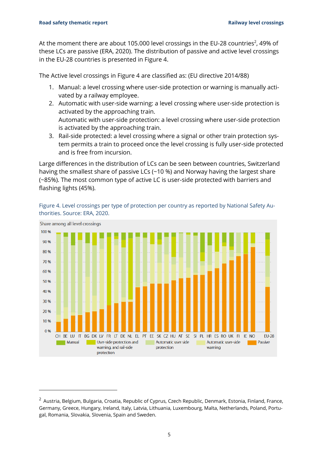At the moment there are about 105.000 level crossings in the EU-28 countries<sup>2</sup>, 49% of these LCs are passive (ERA, 2020). The distribution of passive and active level crossings in the EU-28 countries is presented in Figure 4.

The Active level crossings in Figure 4 are classified as: (EU directive 2014/88)

- 1. Manual: a level crossing where user-side protection or warning is manually activated by a railway employee.
- 2. Automatic with user-side warning: a level crossing where user-side protection is activated by the approaching train. Automatic with user-side protection: a level crossing where user-side protection is activated by the approaching train.
- 3. Rail-side protected: a level crossing where a signal or other train protection system permits a train to proceed once the level crossing is fully user-side protected and is free from incursion.

Large differences in the distribution of LCs can be seen between countries, Switzerland having the smallest share of passive LCs (~10 %) and Norway having the largest share (~85%). The most common type of active LC is user-side protected with barriers and flashing lights (45%).



Figure 4. Level crossings per type of protection per country as reported by National Safety Authorities. Source: ERA, 2020.

<sup>&</sup>lt;sup>2</sup> Austria, Belgium, Bulgaria, Croatia, Republic of Cyprus, Czech Republic, Denmark, Estonia, Finland, France, Germany, Greece, Hungary, Ireland, Italy, Latvia, Lithuania, Luxembourg, Malta, Netherlands, Poland, Portugal, Romania, Slovakia, Slovenia, Spain and Sweden.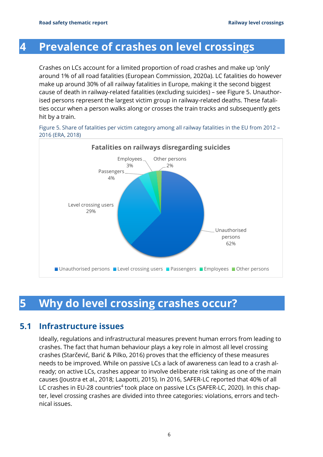## <span id="page-7-0"></span>**4 Prevalence of crashes on level crossings**

Crashes on LCs account for a limited proportion of road crashes and make up 'only' around 1% of all road fatalities (European Commission, 2020a). LC fatalities do however make up around 30% of all railway fatalities in Europe, making it the second biggest cause of death in railway-related fatalities (excluding suicides) – see Figure 5. Unauthorised persons represent the largest victim group in railway-related deaths. These fatalities occur when a person walks along or crosses the train tracks and subsequently gets hit by a train.

Figure 5. Share of fatalities per victim category among all railway fatalities in the EU from 2012 – 2016 (ERA, 2018)



## <span id="page-7-1"></span>**5 Why do level crossing crashes occur?**

### **5.1 Infrastructure issues**

<span id="page-7-2"></span>Ideally, regulations and infrastructural measures prevent human errors from leading to crashes. The fact that human behaviour plays a key role in almost all level crossing crashes (Starčević, Barić & Pilko, 2016) proves that the efficiency of these measures needs to be improved. While on passive LCs a lack of awareness can lead to a crash already; on active LCs, crashes appear to involve deliberate risk taking as one of the main causes (Joustra et al., 2018; Laapotti, 2015). In 2016, SAFER-LC reported that 40% of all LC crashes in EU-28 countries<sup>4</sup> took place on passive LCs (SAFER-LC, 2020). In this chapter, level crossing crashes are divided into three categories: violations, errors and technical issues.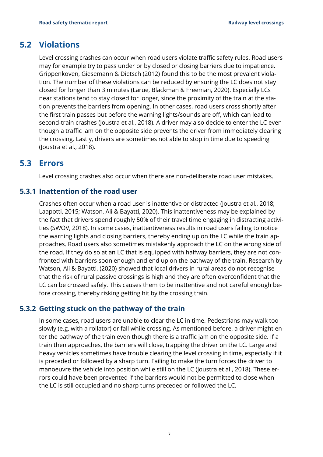### **5.2 Violations**

<span id="page-8-0"></span>Level crossing crashes can occur when road users violate traffic safety rules. Road users may for example try to pass under or by closed or closing barriers due to impatience. Grippenkoven, Giesemann & Dietsch (2012) found this to be the most prevalent violation. The number of these violations can be reduced by ensuring the LC does not stay closed for longer than 3 minutes (Larue, Blackman & Freeman, 2020). Especially LCs near stations tend to stay closed for longer, since the proximity of the train at the station prevents the barriers from opening. In other cases, road users cross shortly after the first train passes but before the warning lights/sounds are off, which can lead to second-train crashes (Joustra et al., 2018). A driver may also decide to enter the LC even though a traffic jam on the opposite side prevents the driver from immediately clearing the crossing. Lastly, drivers are sometimes not able to stop in time due to speeding (Joustra et al., 2018).

### **5.3 Errors**

<span id="page-8-2"></span><span id="page-8-1"></span>Level crossing crashes also occur when there are non-deliberate road user mistakes.

#### **5.3.1 Inattention of the road user**

Crashes often occur when a road user is inattentive or distracted (Joustra et al., 2018; Laapotti, 2015; Watson, Ali & Bayatti, 2020). This inattentiveness may be explained by the fact that drivers spend roughly 50% of their travel time engaging in distracting activities (SWOV, 2018). In some cases, inattentiveness results in road users failing to notice the warning lights and closing barriers, thereby ending up on the LC while the train approaches. Road users also sometimes mistakenly approach the LC on the wrong side of the road. If they do so at an LC that is equipped with halfway barriers, they are not confronted with barriers soon enough and end up on the pathway of the train. Research by Watson, Ali & Bayatti, (2020) showed that local drivers in rural areas do not recognise that the risk of rural passive crossings is high and they are often overconfident that the LC can be crossed safely. This causes them to be inattentive and not careful enough before crossing, thereby risking getting hit by the crossing train.

#### **5.3.2 Getting stuck on the pathway of the train**

<span id="page-8-3"></span>In some cases, road users are unable to clear the LC in time. Pedestrians may walk too slowly (e.g. with a rollator) or fall while crossing. As mentioned before, a driver might enter the pathway of the train even though there is a traffic jam on the opposite side. If a train then approaches, the barriers will close, trapping the driver on the LC. Large and heavy vehicles sometimes have trouble clearing the level crossing in time, especially if it is preceded or followed by a sharp turn. Failing to make the turn forces the driver to manoeuvre the vehicle into position while still on the LC (Joustra et al., 2018). These errors could have been prevented if the barriers would not be permitted to close when the LC is still occupied and no sharp turns preceded or followed the LC.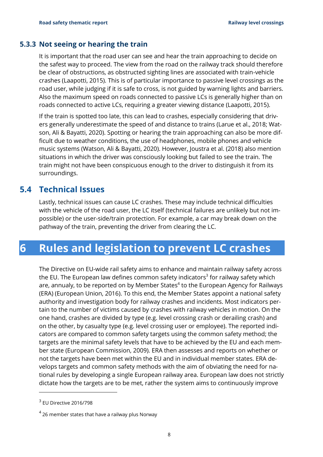#### **5.3.3 Not seeing or hearing the train**

<span id="page-9-0"></span>It is important that the road user can see and hear the train approaching to decide on the safest way to proceed. The view from the road on the railway track should therefore be clear of obstructions, as obstructed sighting lines are associated with train-vehicle crashes (Laapotti, 2015). This is of particular importance to passive level crossings as the road user, while judging if it is safe to cross, is not guided by warning lights and barriers. Also the maximum speed on roads connected to passive LCs is generally higher than on roads connected to active LCs, requiring a greater viewing distance (Laapotti, 2015).

If the train is spotted too late, this can lead to crashes, especially considering that drivers generally underestimate the speed of and distance to trains (Larue et al., 2018; Watson, Ali & Bayatti, 2020). Spotting or hearing the train approaching can also be more difficult due to weather conditions, the use of headphones, mobile phones and vehicle music systems (Watson, Ali & Bayatti, 2020). However, Joustra et al. (2018) also mention situations in which the driver was consciously looking but failed to see the train. The train might not have been conspicuous enough to the driver to distinguish it from its surroundings.

### <span id="page-9-1"></span>**5.4 Technical Issues**

Lastly, technical issues can cause LC crashes. These may include technical difficulties with the vehicle of the road user, the LC itself (technical failures are unlikely but not impossible) or the user-side/train protection. For example, a car may break down on the pathway of the train, preventing the driver from clearing the LC.

## <span id="page-9-2"></span>**6 Rules and legislation to prevent LC crashes**

The Directive on EU-wide rail safety aims to enhance and maintain railway safety across the EU. The European law defines common safety indicators<sup>3</sup> for railway safety which are, annualy, to be reported on by Member States<sup>4</sup> to the European Agency for Railways (ERA) (European Union, 2016). To this end, the Member States appoint a national safety authority and investigation body for railway crashes and incidents. Most indicators pertain to the number of victims caused by crashes with railway vehicles in motion. On the one hand, crashes are divided by type (e.g. level crossing crash or derailing crash) and on the other, by casualty type (e.g. level crossing user or employee). The reported indicators are compared to common safety targets using the common safety method; the targets are the minimal safety levels that have to be achieved by the EU and each member state (European Commission, 2009). ERA then assesses and reports on whether or not the targets have been met within the EU and in individual member states. ERA develops targets and common safety methods with the aim of obviating the need for national rules by developing a single European railway area. European law does not strictly dictate how the targets are to be met, rather the system aims to continuously improve

 $3$  EU Directive 2016/798

 $^4$  26 member states that have a railway plus Norway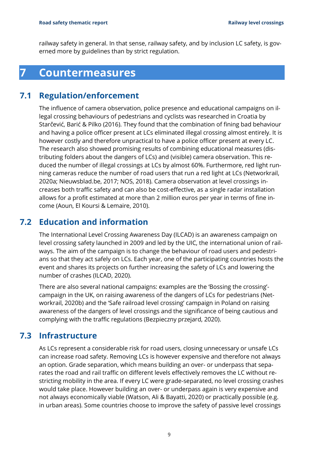<span id="page-10-0"></span>railway safety in general. In that sense, railway safety, and by inclusion LC safety, is governed more by guidelines than by strict regulation.

## **7 Countermeasures**

### **7.1 Regulation/enforcement**

<span id="page-10-1"></span>The influence of camera observation, police presence and educational campaigns on illegal crossing behaviours of pedestrians and cyclists was researched in Croatia by Starčević, Barić & Pilko (2016). They found that the combination of fining bad behaviour and having a police officer present at LCs eliminated illegal crossing almost entirely. It is however costly and therefore unpractical to have a police officer present at every LC. The research also showed promising results of combining educational measures (distributing folders about the dangers of LCs) and (visible) camera observation. This reduced the number of illegal crossings at LCs by almost 60%. Furthermore, red light running cameras reduce the number of road users that run a red light at LCs (Networkrail, 2020a; Nieuwsblad.be, 2017; NOS, 2018). Camera observation at level crossings increases both traffic safety and can also be cost-effective, as a single radar installation allows for a profit estimated at more than 2 million euros per year in terms of fine income (Aoun, El Koursi & Lemaire, 2010).

### **7.2 Education and information**

<span id="page-10-2"></span>The International Level Crossing Awareness Day (ILCAD) is an awareness campaign on level crossing safety launched in 2009 and led by the UIC, the international union of railways. The aim of the campaign is to change the behaviour of road users and pedestrians so that they act safely on LCs. Each year, one of the participating countries hosts the event and shares its projects on further increasing the safety of LCs and lowering the number of crashes (ILCAD, 2020).

There are also several national campaigns: examples are the 'Bossing the crossing' campaign in the UK, on raising awareness of the dangers of LCs for pedestrians (Networkrail, 2020b) and the 'Safe railroad level crossing' campaign in Poland on raising awareness of the dangers of level crossings and the significance of being cautious and complying with the traffic regulations (Bezpieczny przejard, 2020).

### **7.3 Infrastructure**

<span id="page-10-3"></span>As LCs represent a considerable risk for road users, closing unnecessary or unsafe LCs can increase road safety. Removing LCs is however expensive and therefore not always an option. Grade separation, which means building an over- or underpass that separates the road and rail traffic on different levels effectively removes the LC without restricting mobility in the area. If every LC were grade-separated, no level crossing crashes would take place. However building an over- or underpass again is very expensive and not always economically viable (Watson, Ali & Bayatti, 2020) or practically possible (e.g. in urban areas). Some countries choose to improve the safety of passive level crossings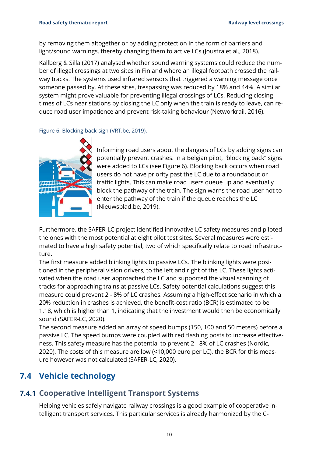by removing them altogether or by adding protection in the form of barriers and light/sound warnings, thereby changing them to active LCs (Joustra et al., 2018).

Kallberg & Silla (2017) analysed whether sound warning systems could reduce the number of illegal crossings at two sites in Finland where an illegal footpath crossed the railway tracks. The systems used infrared sensors that triggered a warning message once someone passed by. At these sites, trespassing was reduced by 18% and 44%. A similar system might prove valuable for preventing illegal crossings of LCs. Reducing closing times of LCs near stations by closing the LC only when the train is ready to leave, can reduce road user impatience and prevent risk-taking behaviour (Networkrail, 2016).

Figure 6. Blocking back-sign (VRT.be, 2019).



Informing road users about the dangers of LCs by adding signs can potentially prevent crashes. In a Belgian pilot, "blocking back" signs were added to LCs (see Figure 6). Blocking back occurs when road users do not have priority past the LC due to a roundabout or traffic lights. This can make road users queue up and eventually block the pathway of the train. The sign warns the road user not to enter the pathway of the train if the queue reaches the LC (Nieuwsblad.be, 2019).

Furthermore, the SAFER-LC project identified innovative LC safety measures and piloted the ones with the most potential at eight pilot test sites. Several measures were estimated to have a high safety potential, two of which specifically relate to road infrastructure.

The first measure added blinking lights to passive LCs. The blinking lights were positioned in the peripheral vision drivers, to the left and right of the LC. These lights activated when the road user approached the LC and supported the visual scanning of tracks for approaching trains at passive LCs. Safety potential calculations suggest this measure could prevent 2 - 8% of LC crashes. Assuming a high-effect scenario in which a 20% reduction in crashes is achieved, the benefit-cost ratio (BCR) is estimated to be 1.18, which is higher than 1, indicating that the investment would then be economically sound (SAFER-LC, 2020).

The second measure added an array of speed bumps (150, 100 and 50 meters) before a passive LC. The speed bumps were coupled with red flashing posts to increase effectiveness. This safety measure has the potential to prevent 2 - 8% of LC crashes (Nordic, 2020). The costs of this measure are low (<10,000 euro per LC), the BCR for this measure however was not calculated (SAFER-LC, 2020).

## <span id="page-11-0"></span>**7.4 Vehicle technology**

### **7.4.1 Cooperative Intelligent Transport Systems**

<span id="page-11-1"></span>Helping vehicles safely navigate railway crossings is a good example of cooperative intelligent transport services. This particular services is already harmonized by the C-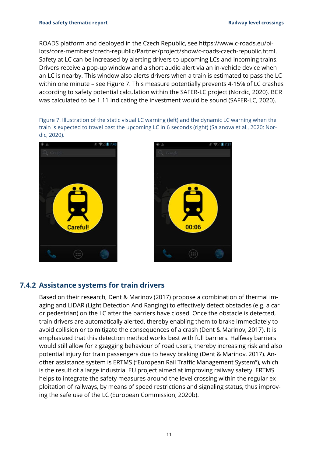ROADS platform and deployed in the Czech Republic, see [https://www.c-roads.eu/pi](https://www.c-roads.eu/pilots/core-members/czech-republic/Partner/project/show/c-roads-czech-republic.html)[lots/core-members/czech-republic/Partner/project/show/c-roads-czech-republic.html.](https://www.c-roads.eu/pilots/core-members/czech-republic/Partner/project/show/c-roads-czech-republic.html) Safety at LC can be increased by alerting drivers to upcoming LCs and incoming trains. Drivers receive a pop-up window and a short audio alert via an in-vehicle device when an LC is nearby. This window also alerts drivers when a train is estimated to pass the LC within one minute – see Figure 7. This measure potentially prevents 4-15% of LC crashes according to safety potential calculation within the SAFER-LC project (Nordic, 2020). BCR was calculated to be 1.11 indicating the investment would be sound (SAFER-LC, 2020).

Figure 7. Illustration of the static visual LC warning (left) and the dynamic LC warning when the train is expected to travel past the upcoming LC in 6 seconds (right) (Salanova et al., 2020; Nordic, 2020).





#### **7.4.2 Assistance systems for train drivers**

<span id="page-12-0"></span>Based on their research, Dent & Marinov (2017) propose a combination of thermal imaging and LIDAR (Light Detection And Ranging) to effectively detect obstacles (e.g. a car or pedestrian) on the LC after the barriers have closed. Once the obstacle is detected, train drivers are automatically alerted, thereby enabling them to brake immediately to avoid collision or to mitigate the consequences of a crash (Dent & Marinov, 2017). It is emphasized that this detection method works best with full barriers. Halfway barriers would still allow for zigzagging behaviour of road users, thereby increasing risk and also potential injury for train passengers due to heavy braking (Dent & Marinov, 2017). Another assistance system is ERTMS ("European Rail Traffic Management System"), which is the result of a large industrial EU project aimed at improving railway safety. ERTMS helps to integrate the safety measures around the level crossing within the regular exploitation of railways, by means of speed restrictions and signaling status, thus improving the safe use of the LC (European Commission, 2020b).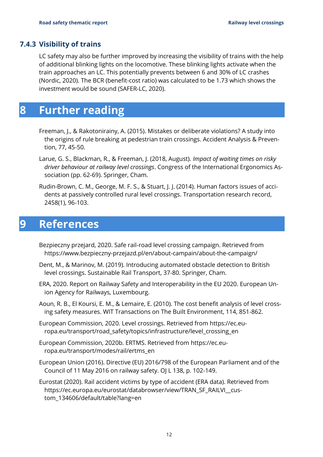#### **7.4.3 Visibility of trains**

<span id="page-13-0"></span>LC safety may also be further improved by increasing the visibility of trains with the help of additional blinking lights on the locomotive. These blinking lights activate when the train approaches an LC. This potentially prevents between 6 and 30% of LC crashes (Nordic, 2020). The BCR (benefit-cost ratio) was calculated to be 1.73 which shows the investment would be sound (SAFER-LC, 2020).

## <span id="page-13-1"></span>**8 Further reading**

- Freeman, J., & Rakotonirainy, A. (2015). Mistakes or deliberate violations? A study into the origins of rule breaking at pedestrian train crossings. Accident Analysis & Prevention, 77, 45-50.
- Larue, G. S., Blackman, R., & Freeman, J. (2018, August). *Impact of waiting times on risky driver behaviour at railway level crossings*. Congress of the International Ergonomics Association (pp. 62-69). Springer, Cham.
- Rudin-Brown, C. M., George, M. F. S., & Stuart, J. J. (2014). Human factors issues of accidents at passively controlled rural level crossings. Transportation research record, 2458(1), 96-103.

## <span id="page-13-2"></span>**9 References**

- Bezpieczny przejard, 2020. Safe rail-road level crossing campaign. Retrieved from <https://www.bezpieczny-przejazd.pl/en/about-campain/about-the-campaign/>
- Dent, M., & Marinov, M. (2019). Introducing automated obstacle detection to British level crossings. Sustainable Rail Transport, 37-80. Springer, Cham.
- ERA, 2020. Report on Railway Safety and Interoperability in the EU 2020. European Union Agency for Railways, Luxembourg.
- Aoun, R. B., El Koursi, E. M., & Lemaire, E. (2010). The cost benefit analysis of level crossing safety measures. WIT Transactions on The Built Environment, 114, 851-862.
- European Commission, 2020. Level crossings. Retrieved from [https://ec.eu](https://ec.europa.eu/transport/road_safety/topics/infrastructure/level_crossing_en)[ropa.eu/transport/road\\_safety/topics/infrastructure/level\\_crossing\\_en](https://ec.europa.eu/transport/road_safety/topics/infrastructure/level_crossing_en)
- European Commission, 2020b. ERTMS. Retrieved from [https://ec.eu](https://ec.europa.eu/transport/modes/rail/ertms_en)[ropa.eu/transport/modes/rail/ertms\\_en](https://ec.europa.eu/transport/modes/rail/ertms_en)
- European Union (2016). Directive (EU) 2016/798 of the European Parliament and of the Council of 11 May 2016 on railway safety. OJ L 138, p. 102-149.
- Eurostat (2020). Rail accident victims by type of accident (ERA data). Retrieved from [https://ec.europa.eu/eurostat/databrowser/view/TRAN\\_SF\\_RAILVI\\_\\_cus](https://ec.europa.eu/eurostat/databrowser/view/TRAN_SF_RAILVI__custom_134606/default/table?lang=en)[tom\\_134606/default/table?lang=en](https://ec.europa.eu/eurostat/databrowser/view/TRAN_SF_RAILVI__custom_134606/default/table?lang=en)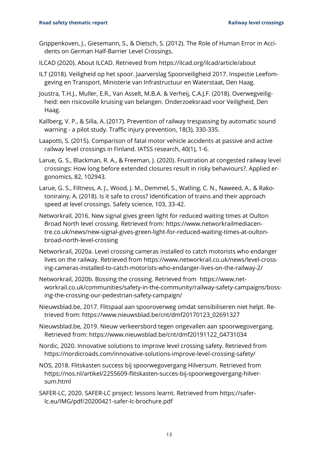- Grippenkoven, J., Giesemann, S., & Dietsch, S. (2012). The Role of Human Error in Accidents on German Half-Barrier Level Crossings.
- ILCAD (2020). About ILCAD. Retrieved from<https://ilcad.org/ilcad/article/about>
- ILT (2018). Veiligheid op het spoor. Jaarverslag Spoorveiligheid 2017. Inspectie Leefomgeving en Transport, Ministerie van Infrastructuur en Waterstaat, Den Haag.
- Joustra, T.H.J., Muller, E.R., Van Asselt, M.B.A. & Verheij, C.A.J.F. (2018). Overwegveiligheid: een risicovolle kruising van belangen. Onderzoeksraad voor Veiligheid, Den Haag.
- Kallberg, V. P., & Silla, A. (2017). Prevention of railway trespassing by automatic sound warning - a pilot study. Traffic injury prevention, 18(3), 330-335.
- Laapotti, S. (2015). Comparison of fatal motor vehicle accidents at passive and active railway level crossings in Finland. IATSS research, 40(1), 1-6.
- Larue, G. S., Blackman, R. A., & Freeman, J. (2020). Frustration at congested railway level crossings: How long before extended closures result in risky behaviours?. Applied ergonomics, 82, 102943.
- Larue, G. S., Filtness, A. J., Wood, J. M., Demmel, S., Watling, C. N., Naweed, A., & Rakotonirainy, A. (2018). Is it safe to cross? Identification of trains and their approach speed at level crossings. Safety science, 103, 33-42.
- Networkrail, 2016. New signal gives green light for reduced waiting times at Oulton Broad North level crossing. Retrieved from: [https://www.networkrailmediacen](https://www.networkrailmediacentre.co.uk/news/new-signal-gives-green-light-for-reduced-waiting-times-at-oulton-broad-north-level-crossing)[tre.co.uk/news/new-signal-gives-green-light-for-reduced-waiting-times-at-oulton](https://www.networkrailmediacentre.co.uk/news/new-signal-gives-green-light-for-reduced-waiting-times-at-oulton-broad-north-level-crossing)[broad-north-level-crossing](https://www.networkrailmediacentre.co.uk/news/new-signal-gives-green-light-for-reduced-waiting-times-at-oulton-broad-north-level-crossing)
- Networkrail, 2020a. Level crossing cameras installed to catch motorists who endanger lives on the railway. Retrieved from [https://www.networkrail.co.uk/news/level-cross](https://www.networkrail.co.uk/news/level-crossing-cameras-installed-to-catch-motorists-who-endanger-lives-on-the-railway-2/)[ing-cameras-installed-to-catch-motorists-who-endanger-lives-on-the-railway-2/](https://www.networkrail.co.uk/news/level-crossing-cameras-installed-to-catch-motorists-who-endanger-lives-on-the-railway-2/)
- Networkrail, 2020b. Bossing the crossing. Retrieved from [https://www.net](https://www.networkrail.co.uk/communities/safety-in-the-community/railway-safety-campaigns/bossing-the-crossing-our-pedestrian-safety-campaign/)[workrail.co.uk/communities/safety-in-the-community/railway-safety-campaigns/boss](https://www.networkrail.co.uk/communities/safety-in-the-community/railway-safety-campaigns/bossing-the-crossing-our-pedestrian-safety-campaign/)[ing-the-crossing-our-pedestrian-safety-campaign/](https://www.networkrail.co.uk/communities/safety-in-the-community/railway-safety-campaigns/bossing-the-crossing-our-pedestrian-safety-campaign/)
- Nieuwsblad.be, 2017. Flitspaal aan spooroverweg omdat sensibiliseren niet helpt. Retrieved from: [https://www.nieuwsblad.be/cnt/dmf20170123\\_02691327](https://www.nieuwsblad.be/cnt/dmf20170123_02691327)
- Nieuwsblad.be, 2019. Nieuw verkeersbord tegen ongevallen aan spoorwegovergang. Retrieved from: [https://www.nieuwsblad.be/cnt/dmf20191122\\_04731034](https://www.nieuwsblad.be/cnt/dmf20191122_04731034)
- Nordic, 2020. Innovative solutions to improve level crossing safety. Retrieved from <https://nordicroads.com/innovative-solutions-improve-level-crossing-safety/>
- NOS, 2018. Flitskasten success bij spoorwegovergang Hilversum. Retrieved from [https://nos.nl/artikel/2255609-flitskasten-succes-bij-spoorwegovergang-hilver](https://nos.nl/artikel/2255609-flitskasten-succes-bij-spoorwegovergang-hilversum.html)[sum.html](https://nos.nl/artikel/2255609-flitskasten-succes-bij-spoorwegovergang-hilversum.html)
- SAFER-LC, 2020. SAFER-LC project: lessons learnt. Retrieved from [https://safer](https://safer-lc.eu/IMG/pdf/20200421-safer-lc-brochure.pdf)[lc.eu/IMG/pdf/20200421-safer-lc-brochure.pdf](https://safer-lc.eu/IMG/pdf/20200421-safer-lc-brochure.pdf)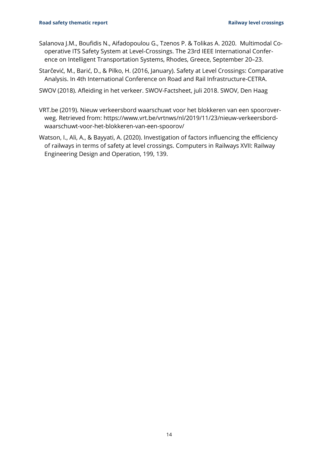- Salanova J.M., Boufidis N., Aifadopoulou G., Tzenos P. & Tolikas A. 2020. Multimodal Cooperative ITS Safety System at Level-Crossings. The 23rd IEEE International Conference on Intelligent Transportation Systems, Rhodes, Greece, September 20–23.
- Starčević, M., Barić, D., & Pilko, H. (2016, January). Safety at Level Crossings: Comparative Analysis. In 4th International Conference on Road and Rail Infrastructure-CETRA.
- SWOV (2018). Afleiding in het verkeer. SWOV-Factsheet, juli 2018. SWOV, Den Haag
- VRT.be (2019). Nieuw verkeersbord waarschuwt voor het blokkeren van een spooroverweg. Retrieved from: [https://www.vrt.be/vrtnws/nl/2019/11/23/nieuw-verkeersbord](https://www.vrt.be/vrtnws/nl/2019/11/23/nieuw-verkeersbord-waarschuwt-voor-het-blokkeren-van-een-spoorov/)[waarschuwt-voor-het-blokkeren-van-een-spoorov/](https://www.vrt.be/vrtnws/nl/2019/11/23/nieuw-verkeersbord-waarschuwt-voor-het-blokkeren-van-een-spoorov/)
- Watson, I., Ali, A., & Bayyati, A. (2020). Investigation of factors influencing the efficiency of railways in terms of safety at level crossings. Computers in Railways XVII: Railway Engineering Design and Operation, 199, 139.